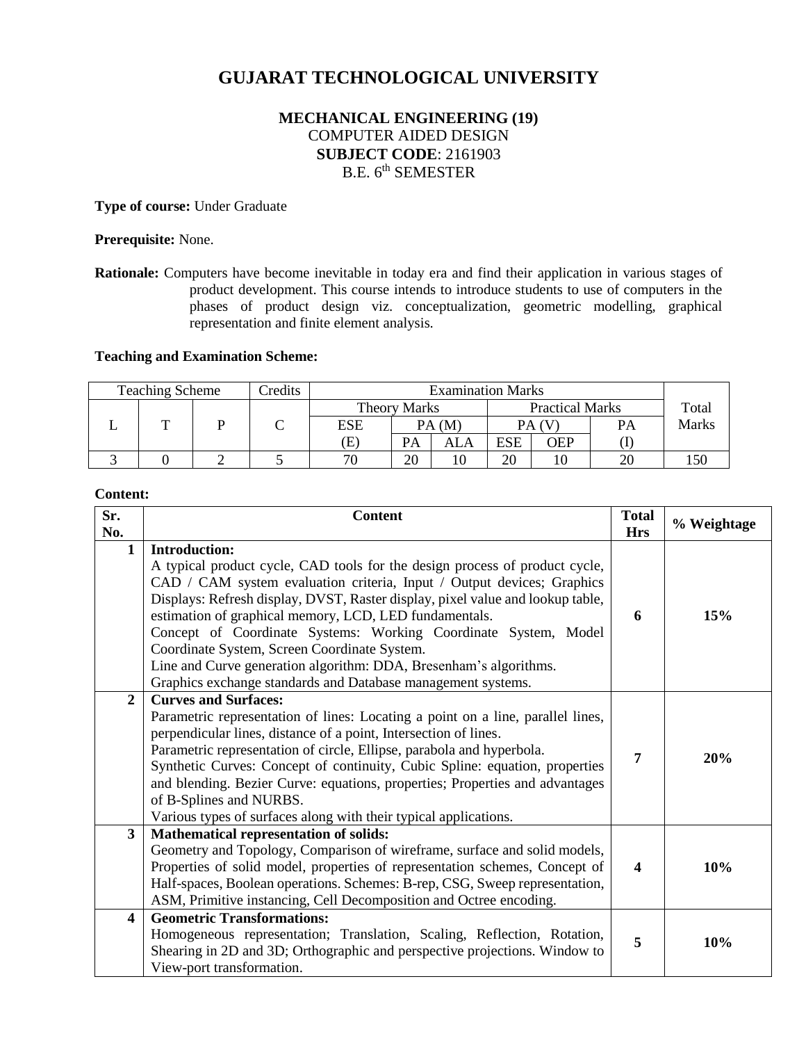# **GUJARAT TECHNOLOGICAL UNIVERSITY**

# **MECHANICAL ENGINEERING (19)** COMPUTER AIDED DESIGN **SUBJECT CODE**: 2161903 B.E. 6<sup>th</sup> SEMESTER

**Type of course:** Under Graduate

**Prerequisite:** None.

#### **Teaching and Examination Scheme:**

|  | <b>Teaching Scheme</b><br>Credits<br><b>Examination Marks</b> |  |  |                            |       |                        |            |     |       |              |
|--|---------------------------------------------------------------|--|--|----------------------------|-------|------------------------|------------|-----|-------|--------------|
|  |                                                               |  |  | Theory Marks               |       | <b>Practical Marks</b> |            |     | Total |              |
|  | m                                                             |  |  | ESE                        | PA(M) |                        | PA (V      |     | PA    | <b>Marks</b> |
|  |                                                               |  |  | $\left( \mathrm{E}\right)$ | PА    | ALA                    | <b>ESE</b> | OEP |       |              |
|  |                                                               |  |  | 70                         | 20    |                        | 20         |     | 20    |              |

#### **Content:**

| Sr.<br>No.              | <b>Content</b>                                                                                                                                                                                                                                                                                                                                                                                                                                                                                                                                                                    | <b>Total</b><br><b>Hrs</b> | % Weightage |
|-------------------------|-----------------------------------------------------------------------------------------------------------------------------------------------------------------------------------------------------------------------------------------------------------------------------------------------------------------------------------------------------------------------------------------------------------------------------------------------------------------------------------------------------------------------------------------------------------------------------------|----------------------------|-------------|
| $\mathbf{1}$            | <b>Introduction:</b><br>A typical product cycle, CAD tools for the design process of product cycle,<br>CAD / CAM system evaluation criteria, Input / Output devices; Graphics<br>Displays: Refresh display, DVST, Raster display, pixel value and lookup table,<br>estimation of graphical memory, LCD, LED fundamentals.<br>Concept of Coordinate Systems: Working Coordinate System, Model<br>Coordinate System, Screen Coordinate System.<br>Line and Curve generation algorithm: DDA, Bresenham's algorithms.<br>Graphics exchange standards and Database management systems. | 6                          | 15%         |
| $\overline{2}$          | <b>Curves and Surfaces:</b><br>Parametric representation of lines: Locating a point on a line, parallel lines,<br>perpendicular lines, distance of a point, Intersection of lines.<br>Parametric representation of circle, Ellipse, parabola and hyperbola.<br>Synthetic Curves: Concept of continuity, Cubic Spline: equation, properties<br>and blending. Bezier Curve: equations, properties; Properties and advantages<br>of B-Splines and NURBS.<br>Various types of surfaces along with their typical applications.                                                         | 7                          | 20%         |
| $\overline{\mathbf{3}}$ | <b>Mathematical representation of solids:</b><br>Geometry and Topology, Comparison of wireframe, surface and solid models,<br>Properties of solid model, properties of representation schemes, Concept of<br>Half-spaces, Boolean operations. Schemes: B-rep, CSG, Sweep representation,<br>ASM, Primitive instancing, Cell Decomposition and Octree encoding.                                                                                                                                                                                                                    | $\overline{\mathbf{4}}$    | 10%         |
| $\overline{\mathbf{4}}$ | <b>Geometric Transformations:</b><br>Homogeneous representation; Translation, Scaling, Reflection, Rotation,<br>Shearing in 2D and 3D; Orthographic and perspective projections. Window to<br>View-port transformation.                                                                                                                                                                                                                                                                                                                                                           | 5                          | 10%         |

**Rationale:** Computers have become inevitable in today era and find their application in various stages of product development. This course intends to introduce students to use of computers in the phases of product design viz. conceptualization, geometric modelling, graphical representation and finite element analysis.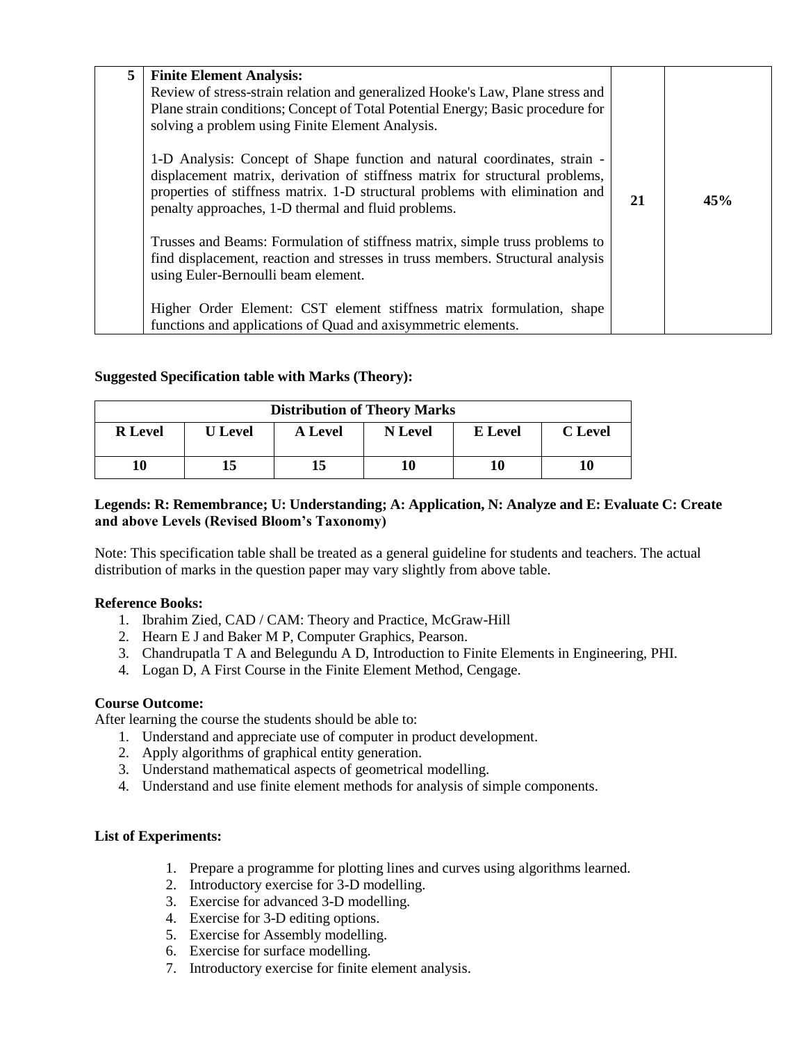| 5 | <b>Finite Element Analysis:</b><br>Review of stress-strain relation and generalized Hooke's Law, Plane stress and<br>Plane strain conditions; Concept of Total Potential Energy; Basic procedure for<br>solving a problem using Finite Element Analysis.<br>1-D Analysis: Concept of Shape function and natural coordinates, strain -<br>displacement matrix, derivation of stiffness matrix for structural problems, |    |     |
|---|-----------------------------------------------------------------------------------------------------------------------------------------------------------------------------------------------------------------------------------------------------------------------------------------------------------------------------------------------------------------------------------------------------------------------|----|-----|
|   | properties of stiffness matrix. 1-D structural problems with elimination and<br>penalty approaches, 1-D thermal and fluid problems.                                                                                                                                                                                                                                                                                   | 21 | 45% |
|   | Trusses and Beams: Formulation of stiffness matrix, simple truss problems to<br>find displacement, reaction and stresses in truss members. Structural analysis<br>using Euler-Bernoulli beam element.                                                                                                                                                                                                                 |    |     |
|   | Higher Order Element: CST element stiffness matrix formulation, shape<br>functions and applications of Quad and axisymmetric elements.                                                                                                                                                                                                                                                                                |    |     |

# **Suggested Specification table with Marks (Theory):**

| <b>Distribution of Theory Marks</b> |                |         |         |         |                |  |
|-------------------------------------|----------------|---------|---------|---------|----------------|--|
| <b>R</b> Level                      | <b>U</b> Level | A Level | N Level | E Level | <b>C</b> Level |  |
| 10                                  | 15             | 15      | 10      | 10      | 10             |  |

# **Legends: R: Remembrance; U: Understanding; A: Application, N: Analyze and E: Evaluate C: Create and above Levels (Revised Bloom's Taxonomy)**

Note: This specification table shall be treated as a general guideline for students and teachers. The actual distribution of marks in the question paper may vary slightly from above table.

#### **Reference Books:**

- 1. Ibrahim Zied, CAD / CAM: Theory and Practice, McGraw-Hill
- 2. Hearn E J and Baker M P, Computer Graphics, Pearson.
- 3. Chandrupatla T A and Belegundu A D, Introduction to Finite Elements in Engineering, PHI.
- 4. Logan D, A First Course in the Finite Element Method, Cengage.

#### **Course Outcome:**

After learning the course the students should be able to:

- 1. Understand and appreciate use of computer in product development.
- 2. Apply algorithms of graphical entity generation.
- 3. Understand mathematical aspects of geometrical modelling.
- 4. Understand and use finite element methods for analysis of simple components.

# **List of Experiments:**

- 1. Prepare a programme for plotting lines and curves using algorithms learned.
- 2. Introductory exercise for 3-D modelling.
- 3. Exercise for advanced 3-D modelling.
- 4. Exercise for 3-D editing options.
- 5. Exercise for Assembly modelling.
- 6. Exercise for surface modelling.
- 7. Introductory exercise for finite element analysis.